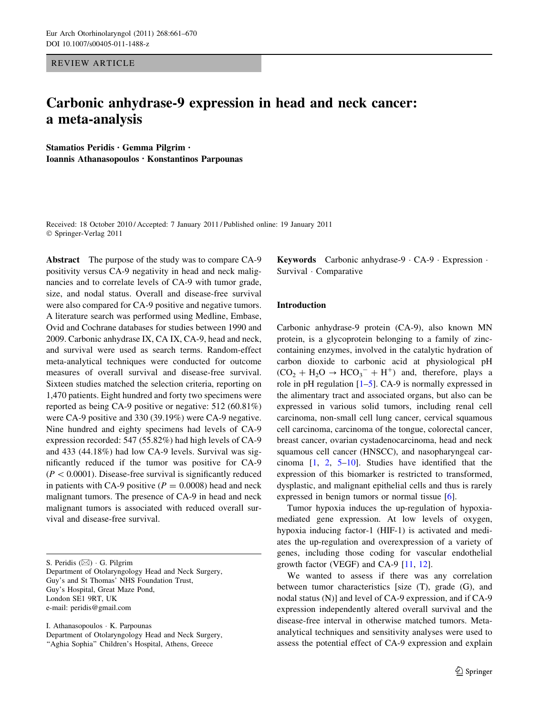REVIEW ARTICLE

# Carbonic anhydrase-9 expression in head and neck cancer: a meta-analysis

Stamatios Peridis • Gemma Pilgrim • Ioannis Athanasopoulos • Konstantinos Parpounas

Received: 18 October 2010 / Accepted: 7 January 2011 / Published online: 19 January 2011 © Springer-Verlag 2011

Abstract The purpose of the study was to compare CA-9 positivity versus CA-9 negativity in head and neck malignancies and to correlate levels of CA-9 with tumor grade, size, and nodal status. Overall and disease-free survival were also compared for CA-9 positive and negative tumors. A literature search was performed using Medline, Embase, Ovid and Cochrane databases for studies between 1990 and 2009. Carbonic anhydrase IX, CA IX, CA-9, head and neck, and survival were used as search terms. Random-effect meta-analytical techniques were conducted for outcome measures of overall survival and disease-free survival. Sixteen studies matched the selection criteria, reporting on 1,470 patients. Eight hundred and forty two specimens were reported as being CA-9 positive or negative: 512 (60.81%) were CA-9 positive and 330 (39.19%) were CA-9 negative. Nine hundred and eighty specimens had levels of CA-9 expression recorded: 547 (55.82%) had high levels of CA-9 and 433 (44.18%) had low CA-9 levels. Survival was significantly reduced if the tumor was positive for CA-9  $(P < 0.0001)$ . Disease-free survival is significantly reduced in patients with CA-9 positive ( $P = 0.0008$ ) head and neck malignant tumors. The presence of CA-9 in head and neck malignant tumors is associated with reduced overall survival and disease-free survival.

S. Peridis  $(\boxtimes) \cdot G$ . Pilgrim Department of Otolaryngology Head and Neck Surgery, Guy's and St Thomas' NHS Foundation Trust, Guy's Hospital, Great Maze Pond, London SE1 9RT, UK e-mail: peridis@gmail.com

I. Athanasopoulos - K. Parpounas Department of Otolaryngology Head and Neck Surgery, "Aghia Sophia" Children's Hospital, Athens, Greece

Keywords Carbonic anhydrase-9 - CA-9 - Expression - Survival - Comparative

#### Introduction

Carbonic anhydrase-9 protein (CA-9), also known MN protein, is a glycoprotein belonging to a family of zinccontaining enzymes, involved in the catalytic hydration of carbon dioxide to carbonic acid at physiological pH  $(CO_2 + H_2O \rightarrow HCO_3^- + H^+)$  and, therefore, plays a role in pH regulation [\[1–5](#page-8-0)]. CA-9 is normally expressed in the alimentary tract and associated organs, but also can be expressed in various solid tumors, including renal cell carcinoma, non-small cell lung cancer, cervical squamous cell carcinoma, carcinoma of the tongue, colorectal cancer, breast cancer, ovarian cystadenocarcinoma, head and neck squamous cell cancer (HNSCC), and nasopharyngeal carcinoma [\[1](#page-8-0), [2](#page-8-0), [5–10](#page-8-0)]. Studies have identified that the expression of this biomarker is restricted to transformed, dysplastic, and malignant epithelial cells and thus is rarely expressed in benign tumors or normal tissue [\[6](#page-8-0)].

Tumor hypoxia induces the up-regulation of hypoxiamediated gene expression. At low levels of oxygen, hypoxia inducing factor-1 (HIF-1) is activated and mediates the up-regulation and overexpression of a variety of genes, including those coding for vascular endothelial growth factor (VEGF) and CA-9 [[11](#page-8-0), [12\]](#page-8-0).

We wanted to assess if there was any correlation between tumor characteristics [size (T), grade (G), and nodal status (N)] and level of CA-9 expression, and if CA-9 expression independently altered overall survival and the disease-free interval in otherwise matched tumors. Metaanalytical techniques and sensitivity analyses were used to assess the potential effect of CA-9 expression and explain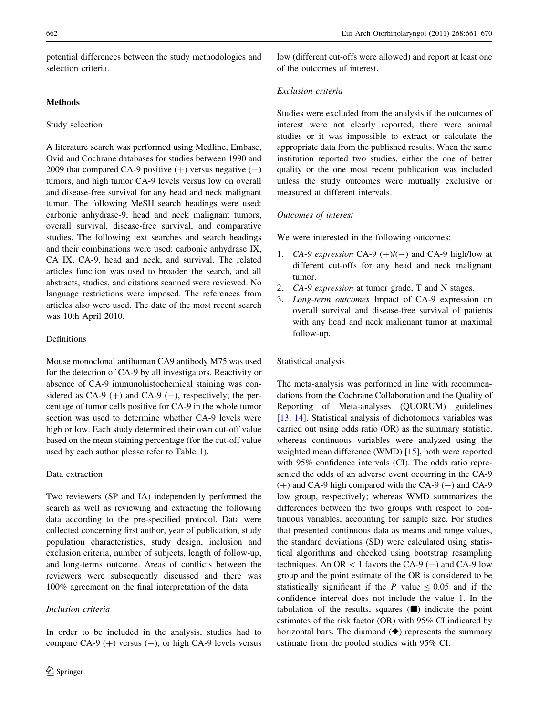potential differences between the study methodologies and selection criteria.

## Methods

#### Study selection

A literature search was performed using Medline, Embase, Ovid and Cochrane databases for studies between 1990 and 2009 that compared CA-9 positive  $(+)$  versus negative  $(-)$ tumors, and high tumor CA-9 levels versus low on overall and disease-free survival for any head and neck malignant tumor. The following MeSH search headings were used: carbonic anhydrase-9, head and neck malignant tumors, overall survival, disease-free survival, and comparative studies. The following text searches and search headings and their combinations were used: carbonic anhydrase IX, CA IX, CA-9, head and neck, and survival. The related articles function was used to broaden the search, and all abstracts, studies, and citations scanned were reviewed. No language restrictions were imposed. The references from articles also were used. The date of the most recent search was 10th April 2010.

# Definitions

Mouse monoclonal antihuman CA9 antibody M75 was used for the detection of CA-9 by all investigators. Reactivity or absence of CA-9 immunohistochemical staining was considered as CA-9  $(+)$  and CA-9  $(-)$ , respectively; the percentage of tumor cells positive for CA-9 in the whole tumor section was used to determine whether CA-9 levels were high or low. Each study determined their own cut-off value based on the mean staining percentage (for the cut-off value used by each author please refer to Table [1](#page-2-0)).

### Data extraction

Two reviewers (SP and IA) independently performed the search as well as reviewing and extracting the following data according to the pre-specified protocol. Data were collected concerning first author, year of publication, study population characteristics, study design, inclusion and exclusion criteria, number of subjects, length of follow-up, and long-terms outcome. Areas of conflicts between the reviewers were subsequently discussed and there was 100% agreement on the final interpretation of the data.

# Inclusion criteria

low (different cut-offs were allowed) and report at least one of the outcomes of interest.

# Exclusion criteria

Studies were excluded from the analysis if the outcomes of interest were not clearly reported, there were animal studies or it was impossible to extract or calculate the appropriate data from the published results. When the same institution reported two studies, either the one of better quality or the one most recent publication was included unless the study outcomes were mutually exclusive or measured at different intervals.

# Outcomes of interest

We were interested in the following outcomes:

- 1. CA-9 expression CA-9  $(+)/(-)$  and CA-9 high/low at different cut-offs for any head and neck malignant tumor.
- 2. CA-9 expression at tumor grade, T and N stages.
- 3. Long-term outcomes Impact of CA-9 expression on overall survival and disease-free survival of patients with any head and neck malignant tumor at maximal follow-up.

#### Statistical analysis

The meta-analysis was performed in line with recommendations from the Cochrane Collaboration and the Quality of Reporting of Meta-analyses (QUORUM) guidelines [\[13](#page-8-0), [14](#page-8-0)]. Statistical analysis of dichotomous variables was carried out using odds ratio (OR) as the summary statistic, whereas continuous variables were analyzed using the weighted mean difference (WMD) [\[15](#page-8-0)], both were reported with 95% confidence intervals (CI). The odds ratio represented the odds of an adverse event occurring in the CA-9  $(+)$  and CA-9 high compared with the CA-9  $(-)$  and CA-9 low group, respectively; whereas WMD summarizes the differences between the two groups with respect to continuous variables, accounting for sample size. For studies that presented continuous data as means and range values, the standard deviations (SD) were calculated using statistical algorithms and checked using bootstrap resampling techniques. An OR  $< 1$  favors the CA-9 (-) and CA-9 low group and the point estimate of the OR is considered to be statistically significant if the P value  $\leq 0.05$  and if the confidence interval does not include the value 1. In the tabulation of the results, squares  $(\blacksquare)$  indicate the point estimates of the risk factor (OR) with 95% CI indicated by horizontal bars. The diamond  $(\blacklozenge)$  represents the summary estimate from the pooled studies with 95% CI.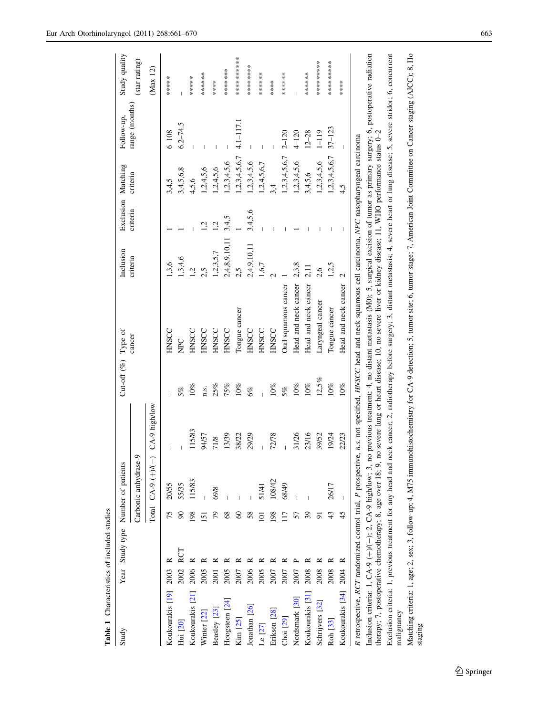<span id="page-2-0"></span>

| Study                                                         |             |                | Year Study type Number of patients |                 | Cut-off (%) Type of |                                                                                                                                                                                                                                  | Inclusion     | Exclusion Matching |                        | Follow-up,     | Study quality |
|---------------------------------------------------------------|-------------|----------------|------------------------------------|-----------------|---------------------|----------------------------------------------------------------------------------------------------------------------------------------------------------------------------------------------------------------------------------|---------------|--------------------|------------------------|----------------|---------------|
|                                                               |             |                | Carbonic anhydrase-9               |                 |                     | cancer                                                                                                                                                                                                                           | criteria      | criteria           | criteria               | range (months) | (star rating) |
|                                                               |             |                | $CA-9 (+)/(-)$<br>Total            | $CA-9$ high/low |                     |                                                                                                                                                                                                                                  |               |                    |                        |                | (Max 12)      |
| Koukourakis [19] 2003                                         |             | 75             | 20/55                              |                 |                     | <b>HNSCC</b>                                                                                                                                                                                                                     | 1,3,6         |                    | 3,4,5                  | $6 - 108$      | ******        |
| Hui [20]                                                      | RCT<br>2002 |                | 55/35                              |                 | 5%                  | <b>NPC</b>                                                                                                                                                                                                                       | 1,3,4,6       |                    | 3,4,5,6,8              | $6.2 - 74.5$   |               |
| Koukourakis [21]                                              | 2006        | 98             | 115/83                             | 115/83          | 10%                 | HNSCC                                                                                                                                                                                                                            | 1,2           |                    | 4,5,6                  |                | ******        |
| Winter $[22]$                                                 | 2005        | $\overline{5}$ |                                    | 94/57           | n.s.                | <b>HNSCC</b>                                                                                                                                                                                                                     | 2,5           | Ņ                  | 1,2,4,5,6              |                | ******        |
| Beasley [23]                                                  | 2001        | 20             | 69/8                               | 71/8            | 25%                 | <b>HNSCC</b>                                                                                                                                                                                                                     | 1,2,3,5,7     | $\overline{a}$     | 1,2,4,5,6              |                | *****         |
| Hoogsteen [24]                                                | 2005        | 68             |                                    | 13/39           | $75\%$              | HNSCC                                                                                                                                                                                                                            | 2,4,8,9,10,11 | 3,4,5              | 1,2,3,4,5,6            |                | *******       |
| Kim [25]                                                      | 2007        | 8              |                                    | 38/22           | 10%                 | Tongue cancer                                                                                                                                                                                                                    | 2,5           |                    | 1,2,3,4,5,6,7          | 4.1-117.1      | **********    |
| Jonathan [26]                                                 | 2006        | 58             |                                    | 29/29           | $6\%$               | HNSCC                                                                                                                                                                                                                            | 2,4,9,10,11   | 3,4,5,6            | 1,2,3,4,5,6            |                | ********      |
| Le $[27]$                                                     | 2005        | $\Xi$          | 51/41                              |                 |                     | HNSCC                                                                                                                                                                                                                            | 1,6,7         |                    | 1,2,4,5,6,7            |                | ******        |
| Eriksen [28]                                                  | 2007        | 198            | 108/42                             | 72/78           | 10%                 | HNSCC                                                                                                                                                                                                                            |               |                    | 3.4                    |                | *****         |
| Choi [29]                                                     | 2007        |                | 68/49                              |                 | 5%                  | Oral squamous cancer                                                                                                                                                                                                             |               |                    | 1,2,3,4,5,6,7          | $2 - 120$      | ******        |
| Nordsmark [30]                                                | 2007        |                |                                    | 31/26           | 10%                 | Head and neck cancer                                                                                                                                                                                                             | 2,3,8         |                    | 1,2,3,4,5,6            | $4 - 120$      |               |
| Koukourakis <sup>[31]</sup>                                   | 2008        | 39             |                                    | 23/16           | 10%                 | Head and neck cancer                                                                                                                                                                                                             | 2,11          |                    | 3,4,5,6                | $12 - 28$      | *******       |
| Schrijvers [32]                                               | 2008        |                |                                    | 39/52           | 12,5%               | Laryngeal cancer                                                                                                                                                                                                                 | 2,6           |                    | 1,2,3,4,5,6            | $1 - 119$      | **********    |
| Roh <sup>[33]</sup>                                           | 2008        | 43             | 26/17                              | 19/24           | 10%                 | Tongue cancer                                                                                                                                                                                                                    | 1,2,5         |                    | $1,2,3,4,5,6,7$ 37-123 |                | **********    |
| Koukourakis [34]                                              | ≃<br>2004   | 45             |                                    | 22/23           | 10%                 | Head and neck cancer                                                                                                                                                                                                             | 2             |                    | 4,5                    |                | *****         |
| R retrospective, RCT randomized control trial, P prospective, |             |                |                                    |                 |                     | n.s. not specified, HNSCC head and neck squamous cell carcinoma, NPC nasopharyngeal carcinoma                                                                                                                                    |               |                    |                        |                |               |
|                                                               |             |                |                                    |                 |                     | Inclusion criteria: 1, CA-9 (+)/(--); 2, CA-9 high/low; 3, no previous treatment; 4, no distant metastasis (M0); 5, surgical excision of tumor as primary surgery; 6, postoperative radiation<br>therapy; 7, postoperative chemo |               |                    |                        |                |               |
|                                                               |             |                |                                    |                 |                     | Exclusion criteria: 1, previous treatment for any head and neck cancer; 2, radiotherapy before surgery; 3, distant metastasis; 4, severe heart or lung disease; 5, severe stridor; 6, concurrent                                 |               |                    |                        |                |               |
| malignancy                                                    |             |                |                                    |                 |                     |                                                                                                                                                                                                                                  |               |                    |                        |                |               |

Matching criteria: 1, age; 2, sex; 3, follow-up; 4, M75 immunohistochemistry for CA-9 detection; 5, tumor site; 6, tumor stage; 7, American Joint Committee on Cancer staging (AJCC); 8, Ho Matching criteria: 1, age; 2, sex; 3, follow-up; 4, M75 immunohistochemistry for CA-9 detection; 5, tumor site; 6, tumor stage; 7, American Joint Committee on Cancer staging (AJCC); 8, Ho staging (AJCC); 8, Ho

Table 1 Characteristics of included studies

Table 1 Characteristics of included studies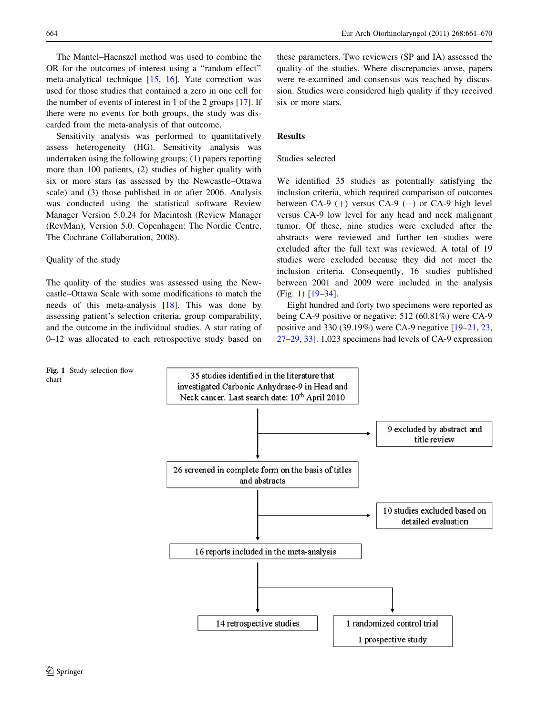664 Eur Arch Otorhinolaryngol (2011) 268:661–670

The Mantel–Haenszel method was used to combine the OR for the outcomes of interest using a ''random effect'' meta-analytical technique [\[15](#page-8-0), [16\]](#page-8-0). Yate correction was used for those studies that contained a zero in one cell for the number of events of interest in 1 of the 2 groups [\[17](#page-8-0)]. If there were no events for both groups, the study was discarded from the meta-analysis of that outcome.

Sensitivity analysis was performed to quantitatively assess heterogeneity (HG). Sensitivity analysis was undertaken using the following groups: (1) papers reporting more than 100 patients, (2) studies of higher quality with six or more stars (as assessed by the Newcastle–Ottawa scale) and (3) those published in or after 2006. Analysis was conducted using the statistical software Review Manager Version 5.0.24 for Macintosh (Review Manager (RevMan), Version 5.0. Copenhagen: The Nordic Centre, The Cochrane Collaboration, 2008).

#### Quality of the study

The quality of the studies was assessed using the Newcastle–Ottawa Scale with some modifications to match the needs of this meta-analysis [[18\]](#page-8-0). This was done by assessing patient's selection criteria, group comparability, and the outcome in the individual studies. A star rating of 0–12 was allocated to each retrospective study based on

these parameters. Two reviewers (SP and IA) assessed the quality of the studies. Where discrepancies arose, papers were re-examined and consensus was reached by discussion. Studies were considered high quality if they received six or more stars.

#### Results

# Studies selected

We identified 35 studies as potentially satisfying the inclusion criteria, which required comparison of outcomes between CA-9  $(+)$  versus CA-9  $(-)$  or CA-9 high level versus CA-9 low level for any head and neck malignant tumor. Of these, nine studies were excluded after the abstracts were reviewed and further ten studies were excluded after the full text was reviewed. A total of 19 studies were excluded because they did not meet the inclusion criteria. Consequently, 16 studies published between 2001 and 2009 were included in the analysis (Fig. 1) [[19–](#page-8-0)[34\]](#page-9-0).

Eight hundred and forty two specimens were reported as being CA-9 positive or negative: 512 (60.81%) were CA-9 positive and 330 (39.19%) were CA-9 negative [[19–](#page-8-0)[21,](#page-9-0) [23,](#page-9-0) [27–29](#page-9-0), [33](#page-9-0)]. 1,023 specimens had levels of CA-9 expression



Fig. 1 Study selection flow chart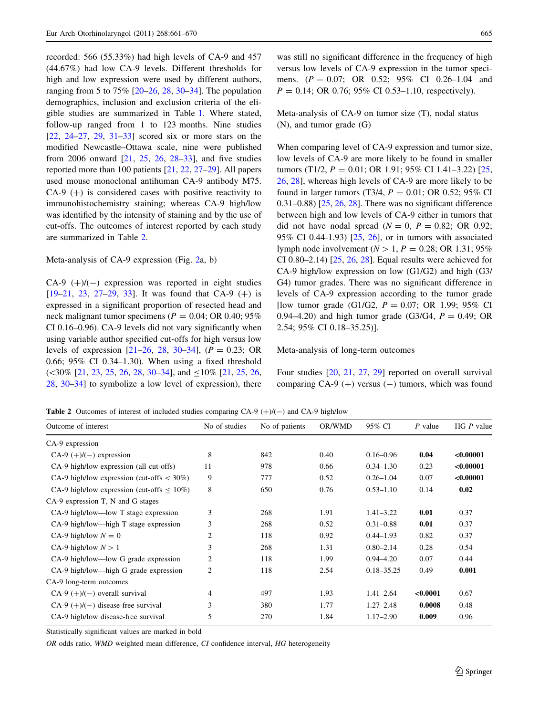recorded: 566 (55.33%) had high levels of CA-9 and 457 (44.67%) had low CA-9 levels. Different thresholds for high and low expression were used by different authors, ranging from 5 to 75% [\[20–26](#page-9-0), [28](#page-9-0), [30–34](#page-9-0)]. The population demographics, inclusion and exclusion criteria of the eligible studies are summarized in Table [1](#page-2-0). Where stated, follow-up ranged from 1 to 123 months. Nine studies [\[22](#page-9-0), [24–27](#page-9-0), [29,](#page-9-0) [31–33\]](#page-9-0) scored six or more stars on the modified Newcastle–Ottawa scale, nine were published from 2006 onward [\[21](#page-9-0), [25,](#page-9-0) [26,](#page-9-0) [28–33\]](#page-9-0), and five studies reported more than 100 patients [\[21](#page-9-0), [22](#page-9-0), [27–29](#page-9-0)]. All papers used mouse monoclonal antihuman CA-9 antibody M75.  $CA-9$  (+) is considered cases with positive reactivity to immunohistochemistry staining; whereas CA-9 high/low was identified by the intensity of staining and by the use of cut-offs. The outcomes of interest reported by each study are summarized in Table 2.

#### Meta-analysis of CA-9 expression (Fig. [2](#page-5-0)a, b)

 $CA-9$  (+)/(-) expression was reported in eight studies  $[19-21, 23, 27-29, 33]$  $[19-21, 23, 27-29, 33]$  $[19-21, 23, 27-29, 33]$  $[19-21, 23, 27-29, 33]$  $[19-21, 23, 27-29, 33]$  $[19-21, 23, 27-29, 33]$ . It was found that CA-9  $(+)$  is expressed in a significant proportion of resected head and neck malignant tumor specimens ( $P = 0.04$ ; OR 0.40; 95% CI 0.16–0.96). CA-9 levels did not vary significantly when using variable author specified cut-offs for high versus low levels of expression  $[21–26, 28, 30–34]$  $[21–26, 28, 30–34]$  $[21–26, 28, 30–34]$  $[21–26, 28, 30–34]$  $[21–26, 28, 30–34]$  $[21–26, 28, 30–34]$ ,  $(P = 0.23; OR)$ 0.66; 95% CI 0.34–1.30). When using a fixed threshold  $(\leq 30\%$  [[21,](#page-9-0) [23,](#page-9-0) [25](#page-9-0), [26,](#page-9-0) [28](#page-9-0), [30–34\]](#page-9-0), and  $\leq 10\%$  [21, 25, 26, [28,](#page-9-0) [30–34](#page-9-0)] to symbolize a low level of expression), there

was still no significant difference in the frequency of high versus low levels of CA-9 expression in the tumor specimens.  $(P = 0.07; \text{ OR } 0.52; 95\% \text{ CI } 0.26-1.04 \text{ and}$  $P = 0.14$ ; OR 0.76; 95% CI 0.53–1.10, respectively).

Meta-analysis of CA-9 on tumor size (T), nodal status (N), and tumor grade (G)

When comparing level of CA-9 expression and tumor size, low levels of CA-9 are more likely to be found in smaller tumors (T1/2,  $P = 0.01$ ; OR 1.91; 95% CI 1.41-3.22) [[25,](#page-9-0) [26](#page-9-0), [28\]](#page-9-0), whereas high levels of CA-9 are more likely to be found in larger tumors (T3/4,  $P = 0.01$ ; OR 0.52; 95% CI  $(0.31-0.88)$  [ $25, 26, 28$  $25, 26, 28$  $25, 26, 28$ ]. There was no significant difference between high and low levels of CA-9 either in tumors that did not have nodal spread  $(N = 0, P = 0.82; \text{ OR } 0.92;$ 95% CI 0.44-1.93) [[25,](#page-9-0) [26\]](#page-9-0), or in tumors with associated lymph node involvement ( $N > 1$ ,  $P = 0.28$ ; OR 1.31; 95% CI 0.80–2.14) [\[25](#page-9-0), [26](#page-9-0), [28\]](#page-9-0). Equal results were achieved for CA-9 high/low expression on low (G1/G2) and high (G3/ G4) tumor grades. There was no significant difference in levels of CA-9 expression according to the tumor grade [low tumor grade (G1/G2,  $P = 0.07$ ; OR 1.99; 95% CI 0.94–4.20) and high tumor grade (G3/G4,  $P = 0.49$ ; OR 2.54; 95% CI 0.18–35.25)].

#### Meta-analysis of long-term outcomes

Four studies [[20,](#page-9-0) [21,](#page-9-0) [27](#page-9-0), [29](#page-9-0)] reported on overall survival comparing CA-9  $(+)$  versus  $(-)$  tumors, which was found

**Table 2** Outcomes of interest of included studies comparing CA-9  $(+)/(-)$  and CA-9 high/low

| Outcome of interest                              | No of studies | No of patients | OR/WMD | 95% CI         | P value  | $HGP$ value |
|--------------------------------------------------|---------------|----------------|--------|----------------|----------|-------------|
| CA-9 expression                                  |               |                |        |                |          |             |
| CA-9 $(+)/(-)$ expression                        | 8             | 842            | 0.40   | $0.16 - 0.96$  | 0.04     | < 0.00001   |
| CA-9 high/low expression (all cut-offs)          | 11            | 978            | 0.66   | $0.34 - 1.30$  | 0.23     | < 0.00001   |
| CA-9 high/low expression (cut-offs $<$ 30%)      | 9             | 777            | 0.52   | $0.26 - 1.04$  | 0.07     | < 0.00001   |
| CA-9 high/low expression (cut-offs $\leq 10\%$ ) | 8             | 650            | 0.76   | $0.53 - 1.10$  | 0.14     | 0.02        |
| CA-9 expression T, N and G stages                |               |                |        |                |          |             |
| CA-9 high/low—low T stage expression             | 3             | 268            | 1.91   | $1.41 - 3.22$  | 0.01     | 0.37        |
| $CA-9$ high/low—high T stage expression          | 3             | 268            | 0.52   | $0.31 - 0.88$  | 0.01     | 0.37        |
| CA-9 high/low $N = 0$                            | 2             | 118            | 0.92   | $0.44 - 1.93$  | 0.82     | 0.37        |
| CA-9 high/low $N > 1$                            | 3             | 268            | 1.31   | $0.80 - 2.14$  | 0.28     | 0.54        |
| CA-9 high/low—low G grade expression             | 2             | 118            | 1.99   | $0.94 - 4.20$  | 0.07     | 0.44        |
| CA-9 high/low—high G grade expression            | 2             | 118            | 2.54   | $0.18 - 35.25$ | 0.49     | 0.001       |
| CA-9 long-term outcomes                          |               |                |        |                |          |             |
| $CA-9 (+)/(-)$ overall survival                  | 4             | 497            | 1.93   | $1.41 - 2.64$  | < 0.0001 | 0.67        |
| $CA-9 (+)/(-)$ disease-free survival             | 3             | 380            | 1.77   | $1.27 - 2.48$  | 0.0008   | 0.48        |
| CA-9 high/low disease-free survival              | 5             | 270            | 1.84   | $1.17 - 2.90$  | 0.009    | 0.96        |

Statistically significant values are marked in bold

OR odds ratio, WMD weighted mean difference, CI confidence interval, HG heterogeneity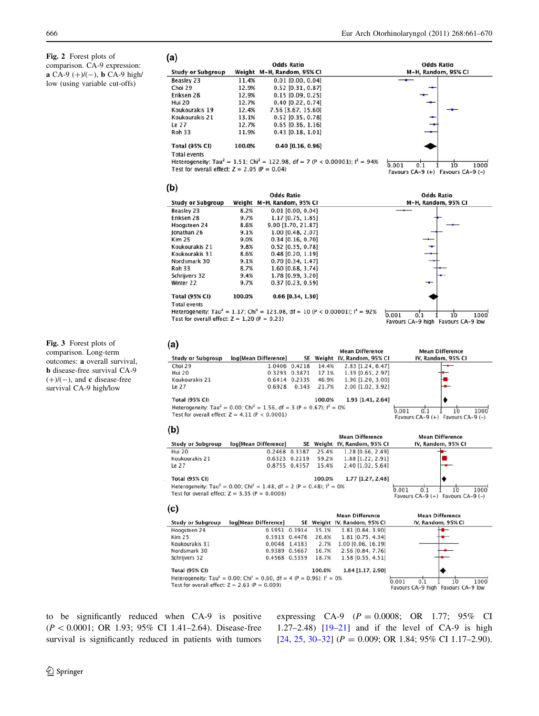<span id="page-5-0"></span>Fig. 2 Forest plots of comparison. CA-9 expression: **a** CA-9  $(+)/(-)$ , **b** CA-9 high/ low (using variable cut-offs)

| (a)                                            |        | <b>Odds Ratio</b>                                                                                    |                     |  |  |  |
|------------------------------------------------|--------|------------------------------------------------------------------------------------------------------|---------------------|--|--|--|
| <b>Study or Subgroup</b>                       |        | Weight M-H, Random, 95% CI                                                                           | M-H, Random, 95% CI |  |  |  |
| Beasley 23                                     | 11.4%  | $0.01$ $[0.00, 0.04]$                                                                                |                     |  |  |  |
| Choi 29                                        | 12.9%  | $0.52$ [0.31, 0.87]                                                                                  |                     |  |  |  |
| Eriksen 28                                     | 12.9%  | $0.15$ [0.09, 0.25]                                                                                  |                     |  |  |  |
| Hui 20                                         | 12.7%  | $0.40$ [0.22, 0.74]                                                                                  |                     |  |  |  |
| Koukourakis 19                                 | 12.4%  | 7.56 [3.67, 15.60]                                                                                   |                     |  |  |  |
| Koukourakis 21                                 | 13.1%  | $0.52$ [0.35, 0.78]                                                                                  |                     |  |  |  |
| Le 27                                          | 12.7%  | $0.65$ [0.36, 1.16]                                                                                  |                     |  |  |  |
| <b>Roh 33</b>                                  | 11.9%  | $0.43$ [0.18, 1.01]                                                                                  |                     |  |  |  |
| <b>Total (95% CI)</b>                          | 100.0% | $0.40$ [0.16, 0.96]                                                                                  |                     |  |  |  |
| <b>Total events</b>                            |        |                                                                                                      |                     |  |  |  |
|                                                |        | Heterogeneity: Tau <sup>2</sup> = 1.51; Chi <sup>2</sup> = 122.98, df = 7 (P < 0.00001); $I^2$ = 94% | 0.001               |  |  |  |
| Test for overall effect: $Z = 2.05$ (P = 0.04) |        | 10<br>1000<br>0.1<br>Favours CA-9 (+) Favours CA-9 (-)                                               |                     |  |  |  |

| Fig. 3 Forest plots of                |
|---------------------------------------|
| comparison. Long-term                 |
| outcomes: a overall survival.         |
| <b>b</b> disease-free survival CA-9   |
| $(+)$ /(-), and <b>c</b> disease-free |
| survival CA-9 high/low                |

|                                                |        | <b>Odds Ratio</b>                                                                                     | <b>Odds Ratio</b>                  |
|------------------------------------------------|--------|-------------------------------------------------------------------------------------------------------|------------------------------------|
| <b>Study or Subgroup</b>                       | Weight | M-H, Random, 95% CI                                                                                   | M-H. Random, 95% CI                |
| Beasley 23                                     | 8.2%   | $0.01$ [0.00, 0.04]                                                                                   |                                    |
| Eriksen 28                                     | 9.7%   | 1.17 [0.75, 1.85]                                                                                     |                                    |
| Hoogsteen 24                                   | 8.6%   | 9.00 [3.70, 21.87]                                                                                    |                                    |
| Jonathan 26                                    | 9.1%   | 1.00 [0.48, 2.07]                                                                                     |                                    |
| <b>Kim 25</b>                                  | 9.0%   | $0.34$ [0.16, 0.70]                                                                                   |                                    |
| Koukourakis 21                                 | 9.8%   | $0.52$ [0.35, 0.78]                                                                                   |                                    |
| Koukourakis 31                                 | 8.6%   | $0.48$ [0.20, 1.19]                                                                                   |                                    |
| Nordsmark 30                                   | 9.1%   | 0.70 [0.34, 1.47]                                                                                     |                                    |
| <b>Roh 33</b>                                  | 8.7%   | 1.60 [0.68, 3.74]                                                                                     |                                    |
| Schrijvers 32                                  | 9.4%   | 1.78 [0.99, 3.20]                                                                                     |                                    |
| Winter 22                                      | 9.7%   | $0.37$ [0.23, 0.59]                                                                                   |                                    |
| <b>Total (95% CI)</b>                          | 100.0% | $0.66$ [0.34, 1.30]                                                                                   |                                    |
| <b>Total events</b>                            |        |                                                                                                       |                                    |
|                                                |        | Heterogeneity: Tau <sup>2</sup> = 1.17; Chi <sup>2</sup> = 123.08, df = 10 (P < 0.00001); $I^2$ = 92% | 0.001<br>1000<br>10<br>0.1         |
| Test for overall effect: $Z = 1.20$ (P = 0.23) |        |                                                                                                       | Favours CA-9 high Favours CA-9 low |

| (a)                      |                                                                                                 |        |        |                           |                                                           |
|--------------------------|-------------------------------------------------------------------------------------------------|--------|--------|---------------------------|-----------------------------------------------------------|
|                          |                                                                                                 |        |        | <b>Mean Difference</b>    | <b>Mean Difference</b>                                    |
| <b>Study or Subgroup</b> | log[Mean Difference]                                                                            | SE     |        | Weight IV, Random, 95% CI | IV. Random, 95% CI                                        |
| Choi 29                  | 1.0406                                                                                          | 0.4218 | 14.4%  | 2.83 [1.24, 6.47]         |                                                           |
| Hui 20                   | 0.3293                                                                                          | 0.3871 | 17.1%  | 1.39 [0.65, 2.97]         |                                                           |
| Koukourakis 21           | 0.6414                                                                                          | 0.2335 | 46.9%  | 1.90 [1.20, 3.00]         |                                                           |
| Le 27                    | 0.6928                                                                                          | 0.343  | 21.7%  | 2.00 [1.02, 3.92]         |                                                           |
| <b>Total (95% CI)</b>    |                                                                                                 |        | 100.0% | 1.93 [1.41, 2.64]         |                                                           |
|                          | Heterogeneity: Tau <sup>2</sup> = 0.00; Chi <sup>2</sup> = 1.56, df = 3 (P = 0.67); $I^2 = 0\%$ |        |        |                           | 0.001<br>1000                                             |
|                          | Test for overall effect: $Z = 4.11$ (P < 0.0001)                                                |        |        |                           | 0 <sup>1</sup><br>10<br>Favours CA-9 (+) Favours CA-9 (-) |
| (b)                      |                                                                                                 |        |        |                           |                                                           |
|                          |                                                                                                 |        |        | <b>Mean Difference</b>    | <b>Mean Difference</b>                                    |

|  | <b>Study or Subgroup</b> | log[Mean Difference]                                                                                                                               |               |        | SE Weight IV, Random, 95% CI | IV, Random, 95% CI                                           |
|--|--------------------------|----------------------------------------------------------------------------------------------------------------------------------------------------|---------------|--------|------------------------------|--------------------------------------------------------------|
|  | Hui 20                   |                                                                                                                                                    | 0.2468 0.3387 | 25.4%  | 1.28 [0.66, 2.49]            |                                                              |
|  | Koukourakis 21           |                                                                                                                                                    | 0.6323 0.2219 | 59.2%  | 1.88 [1.22, 2.91]            |                                                              |
|  | Le 27                    |                                                                                                                                                    | 0.8755 0.4357 | 15.4%  | 2.40 [1.02, 5.64]            |                                                              |
|  | <b>Total (95% CI)</b>    |                                                                                                                                                    |               | 100.0% | 1.77 [1.27, 2.48]            |                                                              |
|  |                          | Heterogeneity: Tau <sup>2</sup> = 0.00; Chi <sup>2</sup> = 1.48, df = 2 (P = 0.48); $I^2 = 0%$<br>Test for overall effect: $Z = 3.35$ (P = 0.0008) |               |        |                              | 1000<br>0.001<br>10<br>Favours $CA-9 (+)$ Favours $CA-9 (-)$ |

# $(c)$

 $(b)$ 

|                          |                                                                                                         |               |        | <b>Mean Difference</b>       | <b>Mean Difference</b>                   |
|--------------------------|---------------------------------------------------------------------------------------------------------|---------------|--------|------------------------------|------------------------------------------|
| <b>Study or Subgroup</b> | log[Mean Difference]                                                                                    |               |        | SE Weight IV, Random, 95% CI | IV, Random, 95% CI                       |
| Hoogsteen 24             |                                                                                                         | 0.5951 0.3914 | 35.1%  | 1.81 [0.84, 3.90]            |                                          |
| Kim 25                   |                                                                                                         | 0.5913 0.4476 | 26.8%  | 1.81 [0.75, 4.34]            |                                          |
| Koukourakis 31           |                                                                                                         | 0.0048 1.4183 | 2.7%   | $1.00$ [0.06, 16.19]         |                                          |
| Nordsmark 30             |                                                                                                         | 0.9389 0.5667 | 16.7%  | 2.56 [0.84, 7.76]            |                                          |
| Schrijvers 32            |                                                                                                         | 0.4568 0.5359 | 18.7%  | 1.58 [0.55, 4.51]            |                                          |
| <b>Total (95% CI)</b>    |                                                                                                         |               | 100.0% | 1.84 [1.17, 2.90]            |                                          |
|                          | Heterogeneity: Tau <sup>2</sup> = 0.00; Chi <sup>2</sup> = 0.60, df = 4 (P = 0.96); l <sup>2</sup> = 0% |               |        |                              | 1000<br>0.001<br>0.1                     |
|                          | Test for overall effect: $Z = 2.63$ (P = 0.009)                                                         |               |        |                              | 10<br>Favours CA-9 high Favours CA-9 low |

to be significantly reduced when CA-9 is positive  $(P < 0.0001; \text{ OR } 1.93; 95\% \text{ CI } 1.41-2.64)$ . Disease-free survival is significantly reduced in patients with tumors expressing CA-9  $(P = 0.0008; \text{ OR } 1.77; 95\% \text{ CI}$ 1.27–2.48) [[19–](#page-8-0)[21\]](#page-9-0) and if the level of CA-9 is high [\[24](#page-9-0), [25,](#page-9-0) [30–32](#page-9-0)] ( $P = 0.009$ ; OR 1.84; 95% CI 1.17–2.90).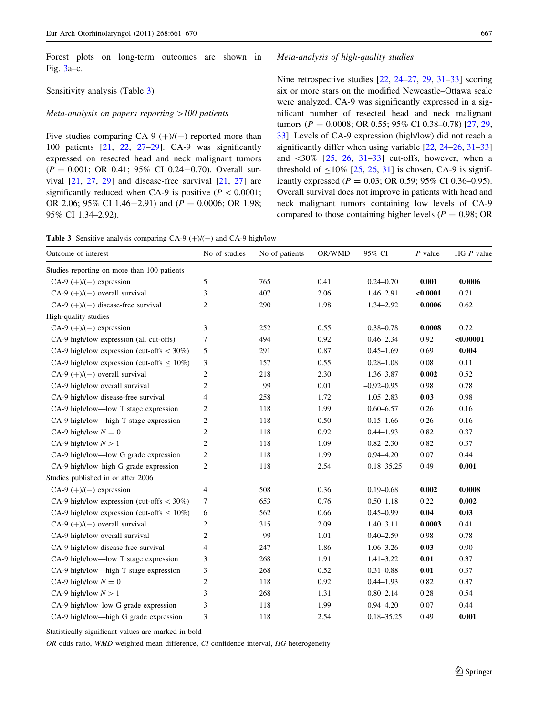Forest plots on long-term outcomes are shown in Fig. [3](#page-5-0)a–c.

#### Sensitivity analysis (Table 3)

#### Meta-analysis on papers reporting  $>100$  patients

Five studies comparing CA-9  $(+)/(-)$  reported more than 100 patients [[21,](#page-9-0) [22,](#page-9-0) [27–29\]](#page-9-0). CA-9 was significantly expressed on resected head and neck malignant tumors  $(P = 0.001; \text{ OR } 0.41; 95\% \text{ CI } 0.24-0.70)$ . Overall survival [[21,](#page-9-0) [27,](#page-9-0) [29\]](#page-9-0) and disease-free survival [\[21](#page-9-0), [27](#page-9-0)] are significantly reduced when CA-9 is positive ( $P \lt 0.0001$ ; OR 2.06; 95% CI 1.46-2.91) and  $(P = 0.0006;$  OR 1.98; 95% CI 1.34–2.92).

Nine retrospective studies [\[22](#page-9-0), [24–27,](#page-9-0) [29,](#page-9-0) [31–33\]](#page-9-0) scoring six or more stars on the modified Newcastle–Ottawa scale were analyzed. CA-9 was significantly expressed in a significant number of resected head and neck malignant tumors ( $P = 0.0008$ ; OR 0.55; 95% CI 0.38–0.78) [[27,](#page-9-0) [29,](#page-9-0) [33](#page-9-0)]. Levels of CA-9 expression (high/low) did not reach a significantly differ when using variable [[22,](#page-9-0) [24–26,](#page-9-0) [31–33\]](#page-9-0) and  $\langle 30\%$  [\[25](#page-9-0), [26](#page-9-0), [31–33\]](#page-9-0) cut-offs, however, when a threshold of  $\leq 10\%$  [[25,](#page-9-0) [26,](#page-9-0) [31](#page-9-0)] is chosen, CA-9 is significantly expressed ( $P = 0.03$ ; OR 0.59; 95% CI 0.36–0.95). Overall survival does not improve in patients with head and neck malignant tumors containing low levels of CA-9 compared to those containing higher levels ( $P = 0.98$ ; OR

**Table 3** Sensitive analysis comparing CA-9  $(+)/(-)$  and CA-9 high/low

| Outcome of interest                              | No of studies    | No of patients | OR/WMD | 95% CI         | $P$ value | HG $P$ value |
|--------------------------------------------------|------------------|----------------|--------|----------------|-----------|--------------|
| Studies reporting on more than 100 patients      |                  |                |        |                |           |              |
| CA-9 $(+)/(-)$ expression                        | 5                | 765            | 0.41   | $0.24 - 0.70$  | 0.001     | 0.0006       |
| $CA-9 (+)/(-)$ overall survival                  | 3                | 407            | 2.06   | 1.46-2.91      | < 0.0001  | 0.71         |
| CA-9 $(+)/(-)$ disease-free survival             | $\overline{c}$   | 290            | 1.98   | $1.34 - 2.92$  | 0.0006    | 0.62         |
| High-quality studies                             |                  |                |        |                |           |              |
| CA-9 $(+)/(-)$ expression                        | 3                | 252            | 0.55   | $0.38 - 0.78$  | 0.0008    | 0.72         |
| CA-9 high/low expression (all cut-offs)          | 7                | 494            | 0.92   | $0.46 - 2.34$  | 0.92      | < 0.00001    |
| CA-9 high/low expression (cut-offs $<$ 30%)      | 5                | 291            | 0.87   | $0.45 - 1.69$  | 0.69      | 0.004        |
| CA-9 high/low expression (cut-offs $\leq 10\%$ ) | 3                | 157            | 0.55   | $0.28 - 1.08$  | 0.08      | 0.11         |
| CA-9 $(+)/(-)$ overall survival                  | $\overline{c}$   | 218            | 2.30   | $1.36 - 3.87$  | 0.002     | 0.52         |
| CA-9 high/low overall survival                   | $\overline{c}$   | 99             | 0.01   | $-0.92 - 0.95$ | 0.98      | 0.78         |
| CA-9 high/low disease-free survival              | 4                | 258            | 1.72   | $1.05 - 2.83$  | 0.03      | 0.98         |
| CA-9 high/low—low T stage expression             | $\overline{c}$   | 118            | 1.99   | $0.60 - 6.57$  | 0.26      | 0.16         |
| CA-9 high/low—high T stage expression            | $\overline{c}$   | 118            | 0.50   | $0.15 - 1.66$  | 0.26      | 0.16         |
| CA-9 high/low $N = 0$                            | $\overline{c}$   | 118            | 0.92   | $0.44 - 1.93$  | 0.82      | 0.37         |
| CA-9 high/low $N > 1$                            | $\overline{c}$   | 118            | 1.09   | $0.82 - 2.30$  | 0.82      | 0.37         |
| CA-9 high/low—low G grade expression             | $\overline{c}$   | 118            | 1.99   | $0.94 - 4.20$  | 0.07      | 0.44         |
| CA-9 high/low-high G grade expression            | $\boldsymbol{2}$ | 118            | 2.54   | $0.18 - 35.25$ | 0.49      | 0.001        |
| Studies published in or after 2006               |                  |                |        |                |           |              |
| CA-9 $(+)/(-)$ expression                        | $\overline{4}$   | 508            | 0.36   | $0.19 - 0.68$  | 0.002     | 0.0008       |
| CA-9 high/low expression (cut-offs $<$ 30%)      | $\tau$           | 653            | 0.76   | $0.50 - 1.18$  | 0.22      | 0.002        |
| CA-9 high/low expression (cut-offs $\leq 10\%$ ) | 6                | 562            | 0.66   | $0.45 - 0.99$  | 0.04      | 0.03         |
| $CA-9 (+)/(-)$ overall survival                  | $\overline{c}$   | 315            | 2.09   | $1.40 - 3.11$  | 0.0003    | 0.41         |
| CA-9 high/low overall survival                   | $\overline{c}$   | 99             | 1.01   | $0.40 - 2.59$  | 0.98      | 0.78         |
| CA-9 high/low disease-free survival              | 4                | 247            | 1.86   | $1.06 - 3.26$  | 0.03      | 0.90         |
| CA-9 high/low—low T stage expression             | 3                | 268            | 1.91   | $1.41 - 3.22$  | 0.01      | 0.37         |
| CA-9 high/low—high T stage expression            | 3                | 268            | 0.52   | $0.31 - 0.88$  | 0.01      | 0.37         |
| CA-9 high/low $N = 0$                            | $\overline{c}$   | 118            | 0.92   | $0.44 - 1.93$  | 0.82      | 0.37         |
| CA-9 high/low $N > 1$                            | 3                | 268            | 1.31   | $0.80 - 2.14$  | 0.28      | 0.54         |
| CA-9 high/low-low G grade expression             | 3                | 118            | 1.99   | $0.94 - 4.20$  | 0.07      | 0.44         |
| CA-9 high/low—high G grade expression            | 3                | 118            | 2.54   | $0.18 - 35.25$ | 0.49      | 0.001        |

Statistically significant values are marked in bold

OR odds ratio, WMD weighted mean difference, CI confidence interval, HG heterogeneity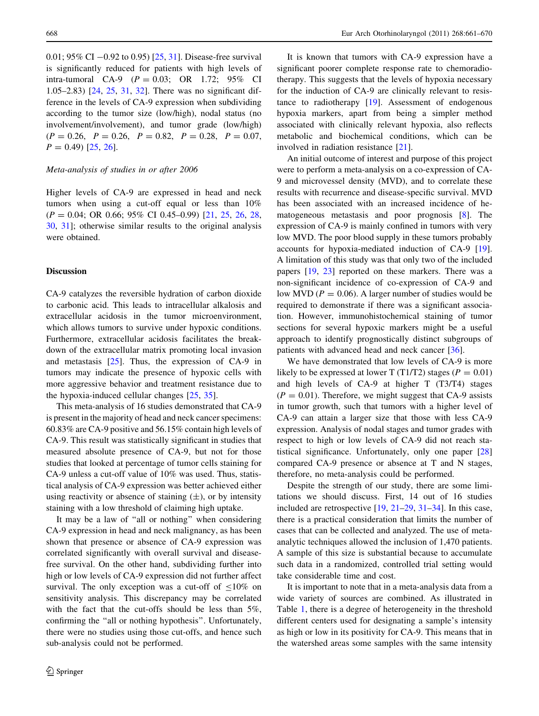0.01;  $95\%$  CI  $-0.92$  to 0.95) [\[25](#page-9-0), [31](#page-9-0)]. Disease-free survival is significantly reduced for patients with high levels of intra-tumoral CA-9  $(P = 0.03; \text{ OR } 1.72; 95\% \text{ CI}$ 1.05–2.83) [\[24](#page-9-0), [25](#page-9-0), [31,](#page-9-0) [32\]](#page-9-0). There was no significant difference in the levels of CA-9 expression when subdividing according to the tumor size (low/high), nodal status (no involvement/involvement), and tumor grade (low/high)  $(P = 0.26, P = 0.26, P = 0.82, P = 0.28, P = 0.07,$  $P = 0.49$  [[25,](#page-9-0) [26\]](#page-9-0).

# Meta-analysis of studies in or after 2006

Higher levels of CA-9 are expressed in head and neck tumors when using a cut-off equal or less than 10%  $(P = 0.04; \text{ OR } 0.66; 95\% \text{ CI } 0.45{\text -}0.99)$  [[21](#page-9-0), [25,](#page-9-0) [26](#page-9-0), [28,](#page-9-0) [30,](#page-9-0) [31\]](#page-9-0); otherwise similar results to the original analysis were obtained.

#### Discussion

CA-9 catalyzes the reversible hydration of carbon dioxide to carbonic acid. This leads to intracellular alkalosis and extracellular acidosis in the tumor microenvironment, which allows tumors to survive under hypoxic conditions. Furthermore, extracellular acidosis facilitates the breakdown of the extracellular matrix promoting local invasion and metastasis  $[25]$  $[25]$ . Thus, the expression of CA-9 in tumors may indicate the presence of hypoxic cells with more aggressive behavior and treatment resistance due to the hypoxia-induced cellular changes [[25,](#page-9-0) [35](#page-9-0)].

This meta-analysis of 16 studies demonstrated that CA-9 is present in the majority of head and neck cancer specimens: 60.83% are CA-9 positive and 56.15% contain high levels of CA-9. This result was statistically significant in studies that measured absolute presence of CA-9, but not for those studies that looked at percentage of tumor cells staining for CA-9 unless a cut-off value of 10% was used. Thus, statistical analysis of CA-9 expression was better achieved either using reactivity or absence of staining  $(\pm)$ , or by intensity staining with a low threshold of claiming high uptake.

It may be a law of ''all or nothing'' when considering CA-9 expression in head and neck malignancy, as has been shown that presence or absence of CA-9 expression was correlated significantly with overall survival and diseasefree survival. On the other hand, subdividing further into high or low levels of CA-9 expression did not further affect survival. The only exception was a cut-off of  $\leq 10\%$  on sensitivity analysis. This discrepancy may be correlated with the fact that the cut-offs should be less than 5%, confirming the ''all or nothing hypothesis''. Unfortunately, there were no studies using those cut-offs, and hence such sub-analysis could not be performed.

It is known that tumors with CA-9 expression have a significant poorer complete response rate to chemoradiotherapy. This suggests that the levels of hypoxia necessary for the induction of CA-9 are clinically relevant to resistance to radiotherapy [\[19](#page-8-0)]. Assessment of endogenous hypoxia markers, apart from being a simpler method associated with clinically relevant hypoxia, also reflects metabolic and biochemical conditions, which can be involved in radiation resistance [[21\]](#page-9-0).

An initial outcome of interest and purpose of this project were to perform a meta-analysis on a co-expression of CA-9 and microvessel density (MVD), and to correlate these results with recurrence and disease-specific survival. MVD has been associated with an increased incidence of hematogeneous metastasis and poor prognosis [[8\]](#page-8-0). The expression of CA-9 is mainly confined in tumors with very low MVD. The poor blood supply in these tumors probably accounts for hypoxia-mediated induction of CA-9 [\[19](#page-8-0)]. A limitation of this study was that only two of the included papers [\[19](#page-8-0), [23](#page-9-0)] reported on these markers. There was a non-significant incidence of co-expression of CA-9 and low MVD ( $P = 0.06$ ). A larger number of studies would be required to demonstrate if there was a significant association. However, immunohistochemical staining of tumor sections for several hypoxic markers might be a useful approach to identify prognostically distinct subgroups of patients with advanced head and neck cancer [\[36](#page-9-0)].

We have demonstrated that low levels of CA-9 is more likely to be expressed at lower T (T1/T2) stages ( $P = 0.01$ ) and high levels of CA-9 at higher T (T3/T4) stages  $(P = 0.01)$ . Therefore, we might suggest that CA-9 assists in tumor growth, such that tumors with a higher level of CA-9 can attain a larger size that those with less CA-9 expression. Analysis of nodal stages and tumor grades with respect to high or low levels of CA-9 did not reach statistical significance. Unfortunately, only one paper [[28\]](#page-9-0) compared CA-9 presence or absence at T and N stages, therefore, no meta-analysis could be performed.

Despite the strength of our study, there are some limitations we should discuss. First, 14 out of 16 studies included are retrospective [[19,](#page-8-0) [21–29,](#page-9-0) [31–34](#page-9-0)]. In this case, there is a practical consideration that limits the number of cases that can be collected and analyzed. The use of metaanalytic techniques allowed the inclusion of 1,470 patients. A sample of this size is substantial because to accumulate such data in a randomized, controlled trial setting would take considerable time and cost.

It is important to note that in a meta-analysis data from a wide variety of sources are combined. As illustrated in Table [1](#page-2-0), there is a degree of heterogeneity in the threshold different centers used for designating a sample's intensity as high or low in its positivity for CA-9. This means that in the watershed areas some samples with the same intensity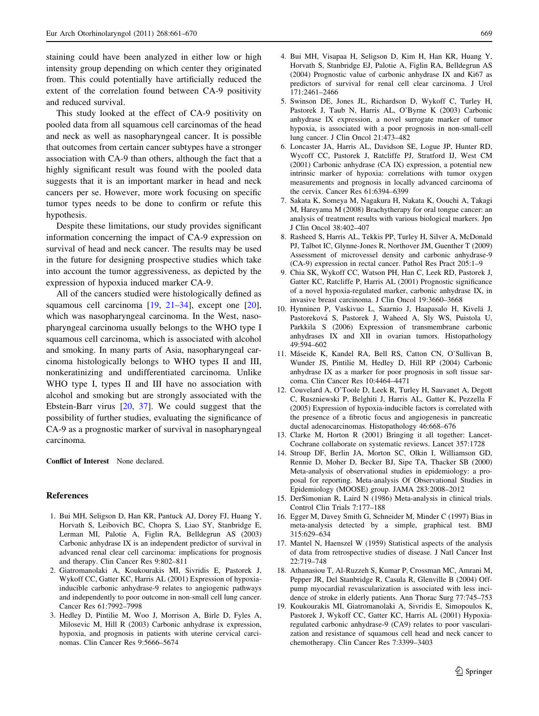<span id="page-8-0"></span>staining could have been analyzed in either low or high intensity group depending on which center they originated from. This could potentially have artificially reduced the extent of the correlation found between CA-9 positivity and reduced survival.

This study looked at the effect of CA-9 positivity on pooled data from all squamous cell carcinomas of the head and neck as well as nasopharyngeal cancer. It is possible that outcomes from certain cancer subtypes have a stronger association with CA-9 than others, although the fact that a highly significant result was found with the pooled data suggests that it is an important marker in head and neck cancers per se. However, more work focusing on specific tumor types needs to be done to confirm or refute this hypothesis.

Despite these limitations, our study provides significant information concerning the impact of CA-9 expression on survival of head and neck cancer. The results may be used in the future for designing prospective studies which take into account the tumor aggressiveness, as depicted by the expression of hypoxia induced marker CA-9.

All of the cancers studied were histologically defined as squamous cell carcinoma  $[19, 21-34]$ , except one  $[20]$  $[20]$ , which was nasopharyngeal carcinoma. In the West, nasopharyngeal carcinoma usually belongs to the WHO type I squamous cell carcinoma, which is associated with alcohol and smoking. In many parts of Asia, nasopharyngeal carcinoma histologically belongs to WHO types II and III, nonkeratinizing and undifferentiated carcinoma. Unlike WHO type I, types II and III have no association with alcohol and smoking but are strongly associated with the Ebstein-Barr virus [[20,](#page-9-0) [37\]](#page-9-0). We could suggest that the possibility of further studies, evaluating the significance of CA-9 as a prognostic marker of survival in nasopharyngeal carcinoma.

Conflict of Interest None declared.

#### References

- 1. Bui MH, Seligson D, Han KR, Pantuck AJ, Dorey FJ, Huang Y, Horvath S, Leibovich BC, Chopra S, Liao SY, Stanbridge E, Lerman MI, Palotie A, Figlin RA, Belldegrun AS (2003) Carbonic anhydrase IX is an independent predictor of survival in advanced renal clear cell carcinoma: implications for prognosis and therapy. Clin Cancer Res 9:802–811
- 2. Giatromanolaki A, Koukourakis MI, Sivridis E, Pastorek J, Wykoff CC, Gatter KC, Harris AL (2001) Expression of hypoxiainducible carbonic anhydrase-9 relates to angiogenic pathways and independently to poor outcome in non-small cell lung cancer. Cancer Res 61:7992–7998
- 3. Hedley D, Pintilie M, Woo J, Morrison A, Birle D, Fyles A, Milosevic M, Hill R (2003) Carbonic anhydrase ix expression, hypoxia, and prognosis in patients with uterine cervical carcinomas. Clin Cancer Res 9:5666–5674
- 4. Bui MH, Visapaa H, Seligson D, Kim H, Han KR, Huang Y, Horvath S, Stanbridge EJ, Palotie A, Figlin RA, Belldegrun AS (2004) Prognostic value of carbonic anhydrase IX and Ki67 as predictors of survival for renal cell clear carcinoma. J Urol 171:2461–2466
- 5. Swinson DE, Jones JL, Richardson D, Wykoff C, Turley H, Pastorek J, Taub N, Harris AL, O'Byrne K (2003) Carbonic anhydrase IX expression, a novel surrogate marker of tumor hypoxia, is associated with a poor prognosis in non-small-cell lung cancer. J Clin Oncol 21:473–482
- 6. Loncaster JA, Harris AL, Davidson SE, Logue JP, Hunter RD, Wycoff CC, Pastorek J, Ratcliffe PJ, Stratford IJ, West CM (2001) Carbonic anhydrase (CA IX) expression, a potential new intrinsic marker of hypoxia: correlations with tumor oxygen measurements and prognosis in locally advanced carcinoma of the cervix. Cancer Res 61:6394–6399
- 7. Sakata K, Someya M, Nagakura H, Nakata K, Oouchi A, Takagi M, Hareyama M (2008) Brachytherapy for oral tongue cancer: an analysis of treatment results with various biological markers. Jpn J Clin Oncol 38:402–407
- 8. Rasheed S, Harris AL, Tekkis PP, Turley H, Silver A, McDonald PJ, Talbot IC, Glynne-Jones R, Northover JM, Guenther T (2009) Assessment of microvessel density and carbonic anhydrase-9 (CA-9) expression in rectal cancer. Pathol Res Pract 205:1–9
- 9. Chia SK, Wykoff CC, Watson PH, Han C, Leek RD, Pastorek J, Gatter KC, Ratcliffe P, Harris AL (2001) Prognostic significance of a novel hypoxia-regulated marker, carbonic anhydrase IX, in invasive breast carcinoma. J Clin Oncol 19:3660–3668
- 10. Hynninen P, Vaskivuo L, Saarnio J, Haapasalo H, Kivela¨ J, Pastoreková S, Pastorek J, Waheed A, Sly WS, Puistola U, Parkkila S (2006) Expression of transmembrane carbonic anhydrases IX and XII in ovarian tumors. Histopathology 49:594–602
- 11. Måseide K, Kandel RA, Bell RS, Catton CN, O'Sullivan B, Wunder JS, Pintilie M, Hedley D, Hill RP (2004) Carbonic anhydrase IX as a marker for poor prognosis in soft tissue sarcoma. Clin Cancer Res 10:4464–4471
- 12. Couvelard A, O'Toole D, Leek R, Turley H, Sauvanet A, Degott C, Ruszniewski P, Belghiti J, Harris AL, Gatter K, Pezzella F (2005) Expression of hypoxia-inducible factors is correlated with the presence of a fibrotic focus and angiogenesis in pancreatic ductal adenocarcinomas. Histopathology 46:668–676
- 13. Clarke M, Horton R (2001) Bringing it all together: Lancet-Cochrane collaborate on systematic reviews. Lancet 357:1728
- 14. Stroup DF, Berlin JA, Morton SC, Olkin I, Williamson GD, Rennie D, Moher D, Becker BJ, Sipe TA, Thacker SB (2000) Meta-analysis of observational studies in epidemiology: a proposal for reporting. Meta-analysis Of Observational Studies in Epidemiology (MOOSE) group. JAMA 283:2008–2012
- 15. DerSimonian R, Laird N (1986) Meta-analysis in clinical trials. Control Clin Trials 7:177–188
- 16. Egger M, Davey Smith G, Schneider M, Minder C (1997) Bias in meta-analysis detected by a simple, graphical test. BMJ 315:629–634
- 17. Mantel N, Haenszel W (1959) Statistical aspects of the analysis of data from retrospective studies of disease. J Natl Cancer Inst 22:719–748
- 18. Athanasiou T, Al-Ruzzeh S, Kumar P, Crossman MC, Amrani M, Pepper JR, Del Stanbridge R, Casula R, Glenville B (2004) Offpump myocardial revascularization is associated with less incidence of stroke in elderly patients. Ann Thorac Surg 77:745–753
- 19. Koukourakis MI, Giatromanolaki A, Sivridis E, Simopoulos K, Pastorek J, Wykoff CC, Gatter KC, Harris AL (2001) Hypoxiaregulated carbonic anhydrase-9 (CA9) relates to poor vascularization and resistance of squamous cell head and neck cancer to chemotherapy. Clin Cancer Res 7:3399–3403